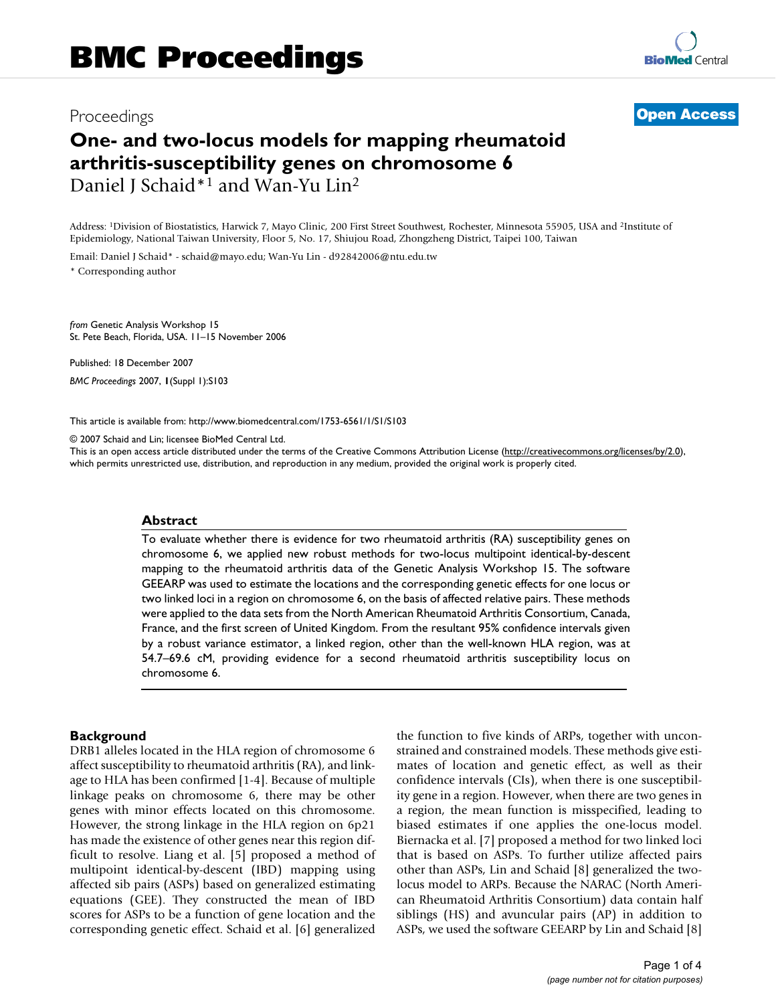# Proceedings **[Open Access](http://www.biomedcentral.com/info/about/charter/)**

# **One- and two-locus models for mapping rheumatoid arthritis-susceptibility genes on chromosome 6** Daniel J Schaid\*<sup>1</sup> and Wan-Yu Lin<sup>2</sup>

Address: 1Division of Biostatistics, Harwick 7, Mayo Clinic, 200 First Street Southwest, Rochester, Minnesota 55905, USA and 2Institute of Epidemiology, National Taiwan University, Floor 5, No. 17, Shiujou Road, Zhongzheng District, Taipei 100, Taiwan

Email: Daniel J Schaid\* - schaid@mayo.edu; Wan-Yu Lin - d92842006@ntu.edu.tw

\* Corresponding author

*from* Genetic Analysis Workshop 15 St. Pete Beach, Florida, USA. 11–15 November 2006

Published: 18 December 2007 *BMC Proceedings* 2007, **1**(Suppl 1):S103

[This article is available from: http://www.biomedcentral.com/1753-6561/1/S1/S103](http://www.biomedcentral.com/1753-6561/1/S1/S103)

© 2007 Schaid and Lin; licensee BioMed Central Ltd.

This is an open access article distributed under the terms of the Creative Commons Attribution License [\(http://creativecommons.org/licenses/by/2.0\)](http://creativecommons.org/licenses/by/2.0), which permits unrestricted use, distribution, and reproduction in any medium, provided the original work is properly cited.

## **Abstract**

To evaluate whether there is evidence for two rheumatoid arthritis (RA) susceptibility genes on chromosome 6, we applied new robust methods for two-locus multipoint identical-by-descent mapping to the rheumatoid arthritis data of the Genetic Analysis Workshop 15. The software GEEARP was used to estimate the locations and the corresponding genetic effects for one locus or two linked loci in a region on chromosome 6, on the basis of affected relative pairs. These methods were applied to the data sets from the North American Rheumatoid Arthritis Consortium, Canada, France, and the first screen of United Kingdom. From the resultant 95% confidence intervals given by a robust variance estimator, a linked region, other than the well-known HLA region, was at 54.7–69.6 cM, providing evidence for a second rheumatoid arthritis susceptibility locus on chromosome 6.

#### **Background**

DRB1 alleles located in the HLA region of chromosome 6 affect susceptibility to rheumatoid arthritis (RA), and linkage to HLA has been confirmed [1-4]. Because of multiple linkage peaks on chromosome 6, there may be other genes with minor effects located on this chromosome. However, the strong linkage in the HLA region on 6p21 has made the existence of other genes near this region difficult to resolve. Liang et al. [5] proposed a method of multipoint identical-by-descent (IBD) mapping using affected sib pairs (ASPs) based on generalized estimating equations (GEE). They constructed the mean of IBD scores for ASPs to be a function of gene location and the corresponding genetic effect. Schaid et al. [6] generalized the function to five kinds of ARPs, together with unconstrained and constrained models. These methods give estimates of location and genetic effect, as well as their confidence intervals (CIs), when there is one susceptibility gene in a region. However, when there are two genes in a region, the mean function is misspecified, leading to biased estimates if one applies the one-locus model. Biernacka et al. [7] proposed a method for two linked loci that is based on ASPs. To further utilize affected pairs other than ASPs, Lin and Schaid [8] generalized the twolocus model to ARPs. Because the NARAC (North American Rheumatoid Arthritis Consortium) data contain half siblings (HS) and avuncular pairs (AP) in addition to ASPs, we used the software GEEARP by Lin and Schaid [8]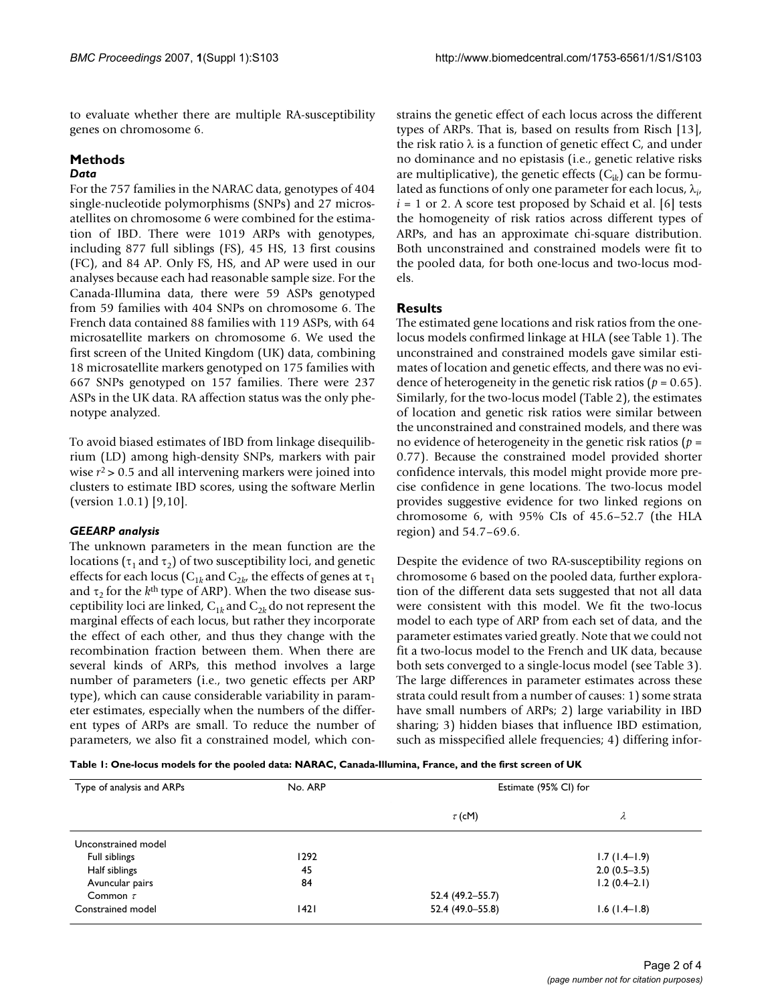to evaluate whether there are multiple RA-susceptibility genes on chromosome 6.

# **Methods**

## *Data*

For the 757 families in the NARAC data, genotypes of 404 single-nucleotide polymorphisms (SNPs) and 27 microsatellites on chromosome 6 were combined for the estimation of IBD. There were 1019 ARPs with genotypes, including 877 full siblings (FS), 45 HS, 13 first cousins (FC), and 84 AP. Only FS, HS, and AP were used in our analyses because each had reasonable sample size. For the Canada-Illumina data, there were 59 ASPs genotyped from 59 families with 404 SNPs on chromosome 6. The French data contained 88 families with 119 ASPs, with 64 microsatellite markers on chromosome 6. We used the first screen of the United Kingdom (UK) data, combining 18 microsatellite markers genotyped on 175 families with 667 SNPs genotyped on 157 families. There were 237 ASPs in the UK data. RA affection status was the only phenotype analyzed.

To avoid biased estimates of IBD from linkage disequilibrium (LD) among high-density SNPs, markers with pair wise *r*2 > 0.5 and all intervening markers were joined into clusters to estimate IBD scores, using the software Merlin (version 1.0.1) [9,10].

# *GEEARP analysis*

The unknown parameters in the mean function are the locations ( $\tau_1$  and  $\tau_2$ ) of two susceptibility loci, and genetic effects for each locus ( $C_{1k}$  and  $C_{2k}$ , the effects of genes at  $\tau_1$ and  $\tau_2$  for the *k*<sup>th</sup> type of ARP). When the two disease susceptibility loci are linked,  $C_{1k}$  and  $C_{2k}$  do not represent the marginal effects of each locus, but rather they incorporate the effect of each other, and thus they change with the recombination fraction between them. When there are several kinds of ARPs, this method involves a large number of parameters (i.e., two genetic effects per ARP type), which can cause considerable variability in parameter estimates, especially when the numbers of the different types of ARPs are small. To reduce the number of parameters, we also fit a constrained model, which constrains the genetic effect of each locus across the different types of ARPs. That is, based on results from Risch [13], the risk ratio  $\lambda$  is a function of genetic effect C, and under no dominance and no epistasis (i.e., genetic relative risks are multiplicative), the genetic effects  $(C_{ik})$  can be formulated as functions of only one parameter for each locus,  $\lambda_{i\prime}$  $i = 1$  or 2. A score test proposed by Schaid et al. [6] tests the homogeneity of risk ratios across different types of ARPs, and has an approximate chi-square distribution. Both unconstrained and constrained models were fit to the pooled data, for both one-locus and two-locus models.

# **Results**

The estimated gene locations and risk ratios from the onelocus models confirmed linkage at HLA (see Table 1). The unconstrained and constrained models gave similar estimates of location and genetic effects, and there was no evidence of heterogeneity in the genetic risk ratios (*p* = 0.65). Similarly, for the two-locus model (Table 2), the estimates of location and genetic risk ratios were similar between the unconstrained and constrained models, and there was no evidence of heterogeneity in the genetic risk ratios (*p* = 0.77). Because the constrained model provided shorter confidence intervals, this model might provide more precise confidence in gene locations. The two-locus model provides suggestive evidence for two linked regions on chromosome 6, with 95% CIs of 45.6–52.7 (the HLA region) and 54.7–69.6.

Despite the evidence of two RA-susceptibility regions on chromosome 6 based on the pooled data, further exploration of the different data sets suggested that not all data were consistent with this model. We fit the two-locus model to each type of ARP from each set of data, and the parameter estimates varied greatly. Note that we could not fit a two-locus model to the French and UK data, because both sets converged to a single-locus model (see Table 3). The large differences in parameter estimates across these strata could result from a number of causes: 1) some strata have small numbers of ARPs; 2) large variability in IBD sharing; 3) hidden biases that influence IBD estimation, such as misspecified allele frequencies; 4) differing infor-

**Table 1: One-locus models for the pooled data: NARAC, Canada-Illumina, France, and the first screen of UK**

| Type of analysis and ARPs | No. ARP | Estimate (95% CI) for |                |  |
|---------------------------|---------|-----------------------|----------------|--|
|                           |         | $\tau$ (cM)           | λ              |  |
| Unconstrained model       |         |                       |                |  |
| Full siblings             | 1292    |                       | $1.7(1.4-1.9)$ |  |
| Half siblings             | 45      |                       | $2.0(0.5-3.5)$ |  |
| Avuncular pairs           | 84      |                       | $1.2(0.4-2.1)$ |  |
| Common $\tau$             |         | 52.4 (49.2–55.7)      |                |  |
| Constrained model         | 42      | 52.4 (49.0-55.8)      | $1.6(1.4-1.8)$ |  |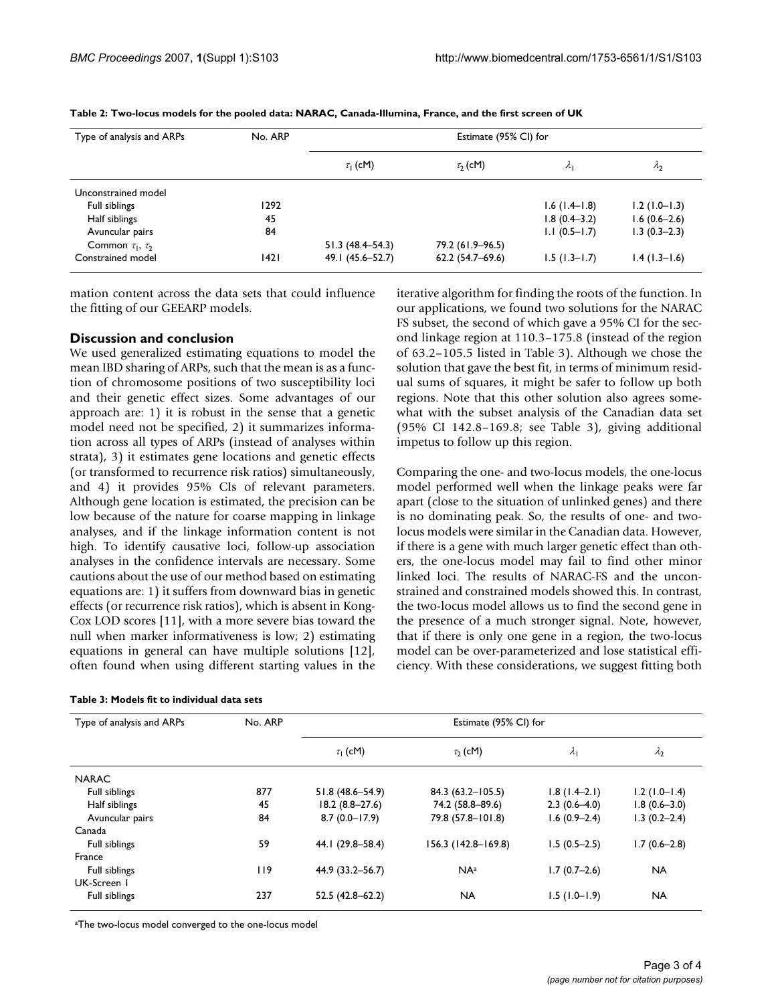| Type of analysis and ARPs  | No. ARP | Estimate (95% CI) for |                     |                  |                |  |
|----------------------------|---------|-----------------------|---------------------|------------------|----------------|--|
|                            |         | $\tau_1$ (cM)         | $\tau_2$ (cM)       | $\lambda_{1}$    | $\Lambda_2$    |  |
| Unconstrained model        |         |                       |                     |                  |                |  |
| Full siblings              | 1292    |                       |                     | $1.6(1.4-1.8)$   | $1.2(1.0-1.3)$ |  |
| Half siblings              | 45      |                       |                     | $1.8(0.4 - 3.2)$ | $1.6(0.6-2.6)$ |  |
| Avuncular pairs            | 84      |                       |                     | $1.1(0.5-1.7)$   | $1.3(0.3-2.3)$ |  |
| Common $\tau_1$ , $\tau_2$ |         | $51.3(48.4 - 54.3)$   | 79.2 (61.9-96.5)    |                  |                |  |
| Constrained model          | 1421    | 49.1 (45.6–52.7)      | $62.2(54.7 - 69.6)$ | $1.5(1.3-1.7)$   | $1.4(1.3-1.6)$ |  |

**Table 2: Two-locus models for the pooled data: NARAC, Canada-Illumina, France, and the first screen of UK**

mation content across the data sets that could influence the fitting of our GEEARP models.

## **Discussion and conclusion**

We used generalized estimating equations to model the mean IBD sharing of ARPs, such that the mean is as a function of chromosome positions of two susceptibility loci and their genetic effect sizes. Some advantages of our approach are: 1) it is robust in the sense that a genetic model need not be specified, 2) it summarizes information across all types of ARPs (instead of analyses within strata), 3) it estimates gene locations and genetic effects (or transformed to recurrence risk ratios) simultaneously, and 4) it provides 95% CIs of relevant parameters. Although gene location is estimated, the precision can be low because of the nature for coarse mapping in linkage analyses, and if the linkage information content is not high. To identify causative loci, follow-up association analyses in the confidence intervals are necessary. Some cautions about the use of our method based on estimating equations are: 1) it suffers from downward bias in genetic effects (or recurrence risk ratios), which is absent in Kong-Cox LOD scores [11], with a more severe bias toward the null when marker informativeness is low; 2) estimating equations in general can have multiple solutions [12], often found when using different starting values in the

iterative algorithm for finding the roots of the function. In our applications, we found two solutions for the NARAC FS subset, the second of which gave a 95% CI for the second linkage region at 110.3–175.8 (instead of the region of 63.2–105.5 listed in Table 3). Although we chose the solution that gave the best fit, in terms of minimum residual sums of squares, it might be safer to follow up both regions. Note that this other solution also agrees somewhat with the subset analysis of the Canadian data set (95% CI 142.8–169.8; see Table 3), giving additional impetus to follow up this region.

Comparing the one- and two-locus models, the one-locus model performed well when the linkage peaks were far apart (close to the situation of unlinked genes) and there is no dominating peak. So, the results of one- and twolocus models were similar in the Canadian data. However, if there is a gene with much larger genetic effect than others, the one-locus model may fail to find other minor linked loci. The results of NARAC-FS and the unconstrained and constrained models showed this. In contrast, the two-locus model allows us to find the second gene in the presence of a much stronger signal. Note, however, that if there is only one gene in a region, the two-locus model can be over-parameterized and lose statistical efficiency. With these considerations, we suggest fitting both

| Type of analysis and ARPs | No. ARP | Estimate (95% CI) for |                     |                |                  |
|---------------------------|---------|-----------------------|---------------------|----------------|------------------|
|                           |         | $\tau_1$ (cM)         | $\tau_2$ (cM)       | $\lambda_1$    | $\lambda_2$      |
| <b>NARAC</b>              |         |                       |                     |                |                  |
| Full siblings             | 877     | 51.8 (48.6-54.9)      | 84.3 (63.2-105.5)   | $1.8(1.4-2.1)$ | $1.2(1.0-1.4)$   |
| Half siblings             | 45      | $18.2(8.8-27.6)$      | 74.2 (58.8-89.6)    | $2.3(0.6-4.0)$ | $1.8(0.6 - 3.0)$ |
| Avuncular pairs           | 84      | $8.7(0.0 - 17.9)$     | 79.8 (57.8-101.8)   | $1.6(0.9-2.4)$ | $1.3(0.2 - 2.4)$ |
| Canada                    |         |                       |                     |                |                  |
| Full siblings             | 59      | 44.1 (29.8-58.4)      | 156.3 (142.8-169.8) | $1.5(0.5-2.5)$ | $1.7(0.6-2.8)$   |
| France                    |         |                       |                     |                |                  |
| Full siblings             | 119     | 44.9 (33.2–56.7)      | NA <sup>a</sup>     | $1.7(0.7-2.6)$ | <b>NA</b>        |
| UK-Screen I               |         |                       |                     |                |                  |
| Full siblings             | 237     | $52.5(42.8 - 62.2)$   | <b>NA</b>           | $1.5(1.0-1.9)$ | <b>NA</b>        |

aThe two-locus model converged to the one-locus model